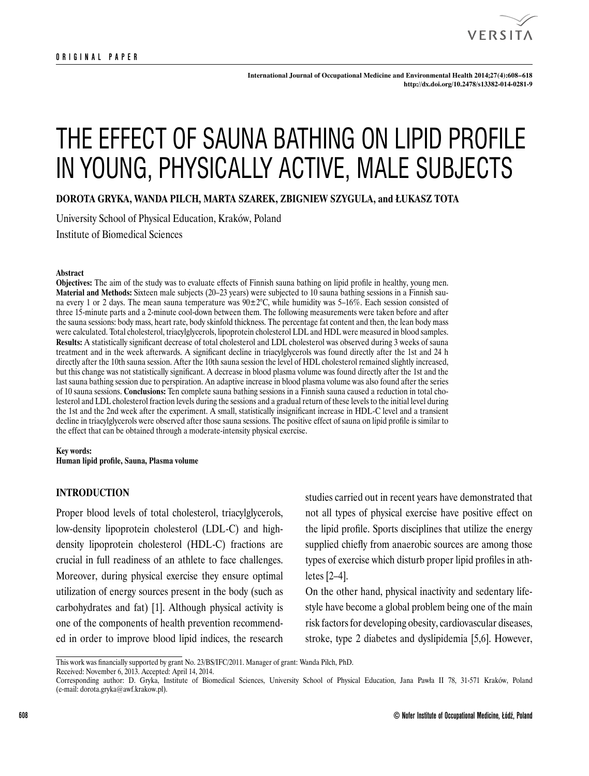

**International Journal of Occupational Medicine and Environmental Health 2014;27(4):608 – 618 <http://dx.doi.org/10.2478/s13382-014-0281-9>**

# THE EFFECT OF SAUNA BATHING ON LIPID PROFILE IN YOUNG, PHYSICALLY ACTIVE, MALE SUBJECTS

**DOROTA GRYKA, WANDA PILCH, MARTA SZAREK, ZBIGNIEW SZYGULA, and ŁUKASZ TOTA**

University School of Physical Education, Kraków, Poland Institute of Biomedical Sciences

#### **Abstract**

**Objectives:** The aim of the study was to evaluate effects of Finnish sauna bathing on lipid profile in healthy, young men. **Material and Methods:** Sixteen male subjects (20–23 years) were subjected to 10 sauna bathing sessions in a Finnish sauna every 1 or 2 days. The mean sauna temperature was 90±2°C, while humidity was 5–16%. Each session consisted of three 15-minute parts and a 2-minute cool-down between them. The following measurements were taken before and after the sauna sessions: body mass, heart rate, body skinfold thickness. The percentage fat content and then, the lean body mass were calculated. Total cholesterol, triacylglycerols, lipoprotein cholesterol LDL and HDL were measured in blood samples. **Results:** A statistically significant decrease of total cholesterol and LDL cholesterol was observed during 3 weeks of sauna treatment and in the week afterwards. A significant decline in triacylglycerols was found directly after the 1st and 24 h directly after the 10th sauna session. After the 10th sauna session the level of HDL cholesterol remained slightly increased, but this change was not statistically significant. A decrease in blood plasma volume was found directly after the 1st and the last sauna bathing session due to perspiration. An adaptive increase in blood plasma volume was also found after the series of 10 sauna sessions. **Conclusions:** Ten complete sauna bathing sessions in a Finnish sauna caused a reduction in total cholesterol and LDL cholesterol fraction levels during the sessions and a gradual return of these levels to the initial level during the 1st and the 2nd week after the experiment. A small, statistically insignificant increase in HDL-C level and a transient decline in triacylglycerols were observed after those sauna sessions. The positive effect of sauna on lipid profile is similar to the effect that can be obtained through a moderate-intensity physical exercise.

#### **Key words:**

**Human lipid profile, Sauna, Plasma volume**

# **INTRODUCTION**

Proper blood levels of total cholesterol, triacylglycerols, low-density lipoprotein cholesterol (LDL-C) and highdensity lipoprotein cholesterol (HDL-C) fractions are crucial in full readiness of an athlete to face challenges. Moreover, during physical exercise they ensure optimal utilization of energy sources present in the body (such as carbohydrates and fat) [1]. Although physical activity is one of the components of health prevention recommended in order to improve blood lipid indices, the research

studies carried out in recent years have demonstrated that not all types of physical exercise have positive effect on the lipid profile. Sports disciplines that utilize the energy supplied chiefly from anaerobic sources are among those types of exercise which disturb proper lipid profiles in athletes [2–4].

On the other hand, physical inactivity and sedentary lifestyle have become a global problem being one of the main risk factors for developing obesity, cardiovascular diseases, stroke, type 2 diabetes and dyslipidemia [5,6]. However,

Received: November 6, 2013. Accepted: April 14, 2014.

This work was financially supported by grant No. 23/BS/IFC/2011. Manager of grant: Wanda Pilch, PhD.

Corresponding author: D. Gryka, Institute of Biomedical Sciences, University School of Physical Education, Jana Pawła II 78, 31-571 Kraków, Poland (e-mail: [dorota.gryka@awf.krakow.pl](mailto:dorota.gryka@awf.krakow.pl)).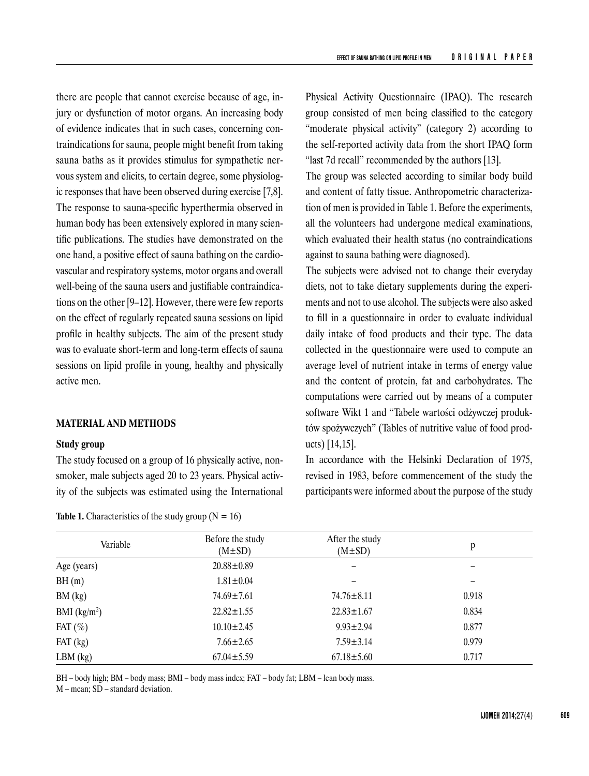there are people that cannot exercise because of age, injury or dysfunction of motor organs. An increasing body of evidence indicates that in such cases, concerning contraindications for sauna, people might benefit from taking sauna baths as it provides stimulus for sympathetic nervous system and elicits, to certain degree, some physiologic responses that have been observed during exercise [7,8]. The response to sauna-specific hyperthermia observed in human body has been extensively explored in many scientific publications. The studies have demonstrated on the one hand, a positive effect of sauna bathing on the cardiovascular and respiratory systems, motor organs and overall well-being of the sauna users and justifiable contraindications on the other [9–12]. However, there were few reports on the effect of regularly repeated sauna sessions on lipid profile in healthy subjects. The aim of the present study was to evaluate short-term and long-term effects of sauna sessions on lipid profile in young, healthy and physically active men.

# **MATERIAL AND METHODS**

### **Study group**

The study focused on a group of 16 physically active, nonsmoker, male subjects aged 20 to 23 years. Physical activity of the subjects was estimated using the International

**Table 1.** Characteristics of the study group ( $N = 16$ )

Physical Activity Questionnaire (IPAQ). The research group consisted of men being classified to the category "moderate physical activity" (category 2) according to the self-reported activity data from the short IPAQ form "last 7d recall" recommended by the authors [13].

The group was selected according to similar body build and content of fatty tissue. Anthropometric characterization of men is provided in Table 1. Before the experiments, all the volunteers had undergone medical examinations, which evaluated their health status (no contraindications against to sauna bathing were diagnosed).

The subjects were advised not to change their everyday diets, not to take dietary supplements during the experiments and not to use alcohol. The subjects were also asked to fill in a questionnaire in order to evaluate individual daily intake of food products and their type. The data collected in the questionnaire were used to compute an average level of nutrient intake in terms of energy value and the content of protein, fat and carbohydrates. The computations were carried out by means of a computer software Wikt 1 and "Tabele wartości odżywczej produktów spożywczych" (Tables of nutritive value of food products) [14,15].

In accordance with the Helsinki Declaration of 1975, revised in 1983, before commencement of the study the participants were informed about the purpose of the study

| Variable      | Before the study<br>$(M \pm SD)$ | After the study<br>$(M \pm SD)$ | p     |
|---------------|----------------------------------|---------------------------------|-------|
| Age (years)   | $20.88 \pm 0.89$                 |                                 |       |
| BH(m)         | $1.81 \pm 0.04$                  |                                 | -     |
| BM (kg)       | $74.69 \pm 7.61$                 | $74.76 \pm 8.11$                | 0.918 |
| BMI $(kg/m2)$ | $22.82 \pm 1.55$                 | $22.83 \pm 1.67$                | 0.834 |
| FAT $(\%)$    | $10.10 \pm 2.45$                 | $9.93 \pm 2.94$                 | 0.877 |
| $FAT$ (kg)    | $7.66 \pm 2.65$                  | $7.59 \pm 3.14$                 | 0.979 |
| $LBM$ (kg)    | $67.04 \pm 5.59$                 | $67.18 \pm 5.60$                | 0.717 |

BH – body high; BM – body mass; BMI – body mass index; FAT – body fat; LBM – lean body mass.

M – mean; SD – standard deviation.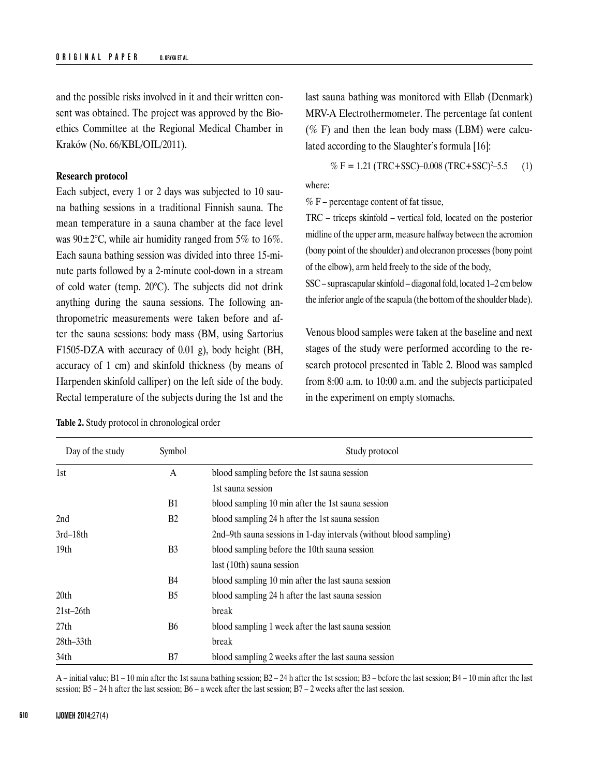and the possible risks involved in it and their written consent was obtained. The project was approved by the Bioethics Committee at the Regional Medical Chamber in Kraków (No. 66/KBL/OIL/2011).

## **Research protocol**

Each subject, every 1 or 2 days was subjected to 10 sauna bathing sessions in a traditional Finnish sauna. The mean temperature in a sauna chamber at the face level was  $90 \pm 2^{\circ}$ C, while air humidity ranged from 5% to 16%. Each sauna bathing session was divided into three 15-minute parts followed by a 2-minute cool-down in a stream of cold water (temp. 20°C). The subjects did not drink anything during the sauna sessions. The following anthropometric measurements were taken before and after the sauna sessions: body mass (BM, using Sartorius F1505-DZA with accuracy of 0.01 g), body height (BH, accuracy of 1 cm) and skinfold thickness (by means of Harpenden skinfold calliper) on the left side of the body. Rectal temperature of the subjects during the 1st and the

| Day of the study | Symbol         | Study protocol                                                     |
|------------------|----------------|--------------------------------------------------------------------|
| 1st              | A              | blood sampling before the 1st sauna session                        |
|                  |                | 1st sauna session                                                  |
|                  | <b>B1</b>      | blood sampling 10 min after the 1st sauna session                  |
| 2nd              | B <sub>2</sub> | blood sampling 24 h after the 1st sauna session                    |
| $3rd-18th$       |                | 2nd–9th sauna sessions in 1-day intervals (without blood sampling) |
| 19 <sub>th</sub> | B <sub>3</sub> | blood sampling before the 10th sauna session                       |
|                  |                | last (10th) sauna session                                          |
|                  | <b>B</b> 4     | blood sampling 10 min after the last sauna session                 |
| 20th             | B <sub>5</sub> | blood sampling 24 h after the last sauna session                   |
| $21st-26th$      |                | break                                                              |
| 27th             | <b>B6</b>      | blood sampling 1 week after the last sauna session                 |
| $28th-33th$      |                | break                                                              |
| 34th             | B7             | blood sampling 2 weeks after the last sauna session                |

**Table 2.** Study protocol in chronological order

last sauna bathing was monitored with Ellab (Denmark) MRV-A Electrothermometer. The percentage fat content ( $%$  F) and then the lean body mass (LBM) were calculated according to the Slaughter's formula [16]:

$$
\% F = 1.21 \text{ (TRC+SSC)} - 0.008 \text{ (TRC+SSC)}^2 - 5.5 \tag{1}
$$

where:

 $% F$  – percentage content of fat tissue,

TRC – triceps skinfold – vertical fold, located on the posterior midline of the upper arm, measure halfway between the acromion (bony point of the shoulder) and olecranon processes (bony point of the elbow), arm held freely to the side of the body,

SSC – suprascapular skinfold – diagonal fold, located 1–2 cm below the inferior angle of the scapula (the bottom of the shoulder blade).

Venous blood samples were taken at the baseline and next stages of the study were performed according to the research protocol presented in Table 2. Blood was sampled from 8:00 a.m. to 10:00 a.m. and the subjects participated in the experiment on empty stomachs.

A – initial value; B1 – 10 min after the 1st sauna bathing session; B2 – 24 h after the 1st session; B3 – before the last session; B4 – 10 min after the last session; B5 – 24 h after the last session; B6 – a week after the last session; B7 – 2 weeks after the last session.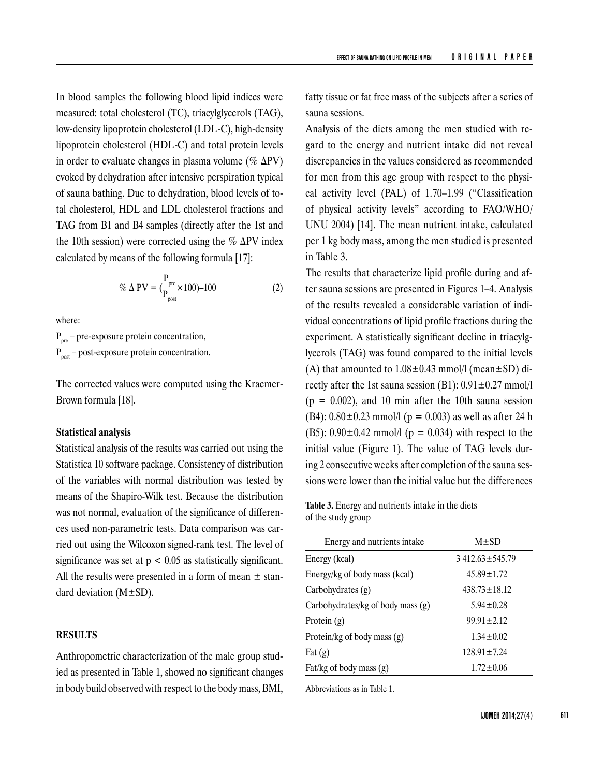In blood samples the following blood lipid indices were measured: total cholesterol (TC), triacylglycerols (TAG), low-density lipoprotein cholesterol (LDL-C), high-density lipoprotein cholesterol (HDL-C) and total protein levels in order to evaluate changes in plasma volume (%  $\Delta PV$ ) evoked by dehydration after intensive perspiration typical of sauna bathing. Due to dehydration, blood levels of total cholesterol, HDL and LDL cholesterol fractions and TAG from B1 and B4 samples (directly after the 1st and the 10th session) were corrected using the %  $\Delta$ PV index calculated by means of the following formula [17]:

$$
\% \Delta \text{ PV} = \left(\frac{P_{\text{pre}}}{P_{\text{post}}} \times 100\right) - 100\tag{2}
$$

where:

 $P_{pre}$  – pre-exposure protein concentration,  $P_{\text{post}}$  – post-exposure protein concentration.

The corrected values were computed using the Kraemer-Brown formula [18].

# **Statistical analysis**

Statistical analysis of the results was carried out using the Statistica 10 software package. Consistency of distribution of the variables with normal distribution was tested by means of the Shapiro-Wilk test. Because the distribution was not normal, evaluation of the significance of differences used non-parametric tests. Data comparison was carried out using the Wilcoxon signed-rank test. The level of significance was set at  $p < 0.05$  as statistically significant. All the results were presented in a form of mean  $\pm$  standard deviation  $(M \pm SD)$ .

# **RESULTS**

Anthropometric characterization of the male group studied as presented in Table 1, showed no significant changes in body build observed with respect to the body mass, BMI,

fatty tissue or fat free mass of the subjects after a series of sauna sessions.

Analysis of the diets among the men studied with regard to the energy and nutrient intake did not reveal discrepancies in the values considered as recommended for men from this age group with respect to the physical activity level (PAL) of 1.70–1.99 ("Classification of physical activity levels" according to FAO/WHO/ UNU 2004) [14]. The mean nutrient intake, calculated per 1 kg body mass, among the men studied is presented in Table 3.

The results that characterize lipid profile during and after sauna sessions are presented in Figures 1–4. Analysis of the results revealed a considerable variation of individual concentrations of lipid profile fractions during the experiment. A statistically significant decline in triacylglycerols (TAG) was found compared to the initial levels (A) that amounted to  $1.08 \pm 0.43$  mmol/l (mean $\pm$ SD) directly after the 1st sauna session (B1):  $0.91 \pm 0.27$  mmol/l  $(p = 0.002)$ , and 10 min after the 10th sauna session (B4):  $0.80 \pm 0.23$  mmol/l (p = 0.003) as well as after 24 h (B5):  $0.90 \pm 0.42$  mmol/l (p = 0.034) with respect to the initial value (Figure 1). The value of TAG levels during 2 consecutive weeks after completion of the sauna sessions were lower than the initial value but the differences

**Table 3.** Energy and nutrients intake in the diets of the study group

| Energy and nutrients intake       | $M \pm SD$           |  |  |
|-----------------------------------|----------------------|--|--|
| Energy (kcal)                     | $3412.63 \pm 545.79$ |  |  |
| Energy/kg of body mass (kcal)     | $45.89 \pm 1.72$     |  |  |
| Carbohydrates (g)                 | $438.73 \pm 18.12$   |  |  |
| Carbohydrates/kg of body mass (g) | $5.94 + 0.28$        |  |  |
| Protein $(g)$                     | $99.91 \pm 2.12$     |  |  |
| Protein/kg of body mass $(g)$     | $1.34 \pm 0.02$      |  |  |
| Fat $(g)$                         | $128.91 \pm 7.24$    |  |  |
| Fat/kg of body mass $(g)$         | $1.72 \pm 0.06$      |  |  |

Abbreviations as in Table 1.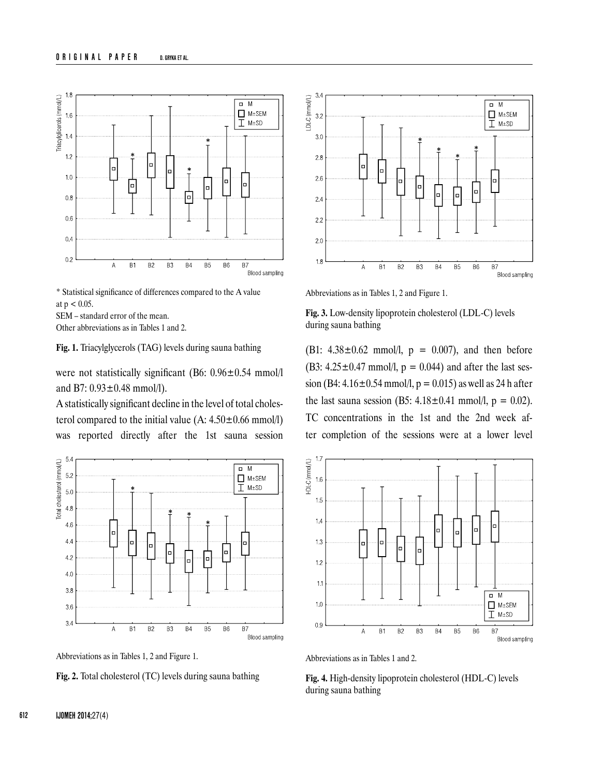

\* Statistical significance of differences compared to the A value at  $p < 0.05$ .

SEM – standard error of the mean.

Other abbreviations as in Tables 1 and 2.

**Fig. 1.** Triacylglycerols (TAG) levels during sauna bathing

were not statistically significant (B6: 0.96±0.54 mmol/l) and B7: 0.93±0.48 mmol/l).

A statistically significant decline in the level of total cholesterol compared to the initial value  $(A: 4.50 \pm 0.66 \text{ mmol/l})$ was reported directly after the 1st sauna session



Abbreviations as in Tables 1, 2 and Figure 1.

**Fig. 2.** Total cholesterol (TC) levels during sauna bathing



Abbreviations as in Tables 1, 2 and Figure 1.

**Fig. 3.** Low-density lipoprotein cholesterol (LDL-C) levels during sauna bathing

(B1:  $4.38 \pm 0.62$  mmol/l,  $p = 0.007$ ), and then before (B3:  $4.25 \pm 0.47$  mmol/l,  $p = 0.044$ ) and after the last session (B4:  $4.16 \pm 0.54$  mmol/l, p = 0.015) as well as 24 h after the last sauna session (B5:  $4.18 \pm 0.41$  mmol/l, p = 0.02). TC concentrations in the 1st and the 2nd week after completion of the sessions were at a lower level



Abbreviations as in Tables 1 and 2.

**Fig. 4.** High-density lipoprotein cholesterol (HDL-C) levels during sauna bathing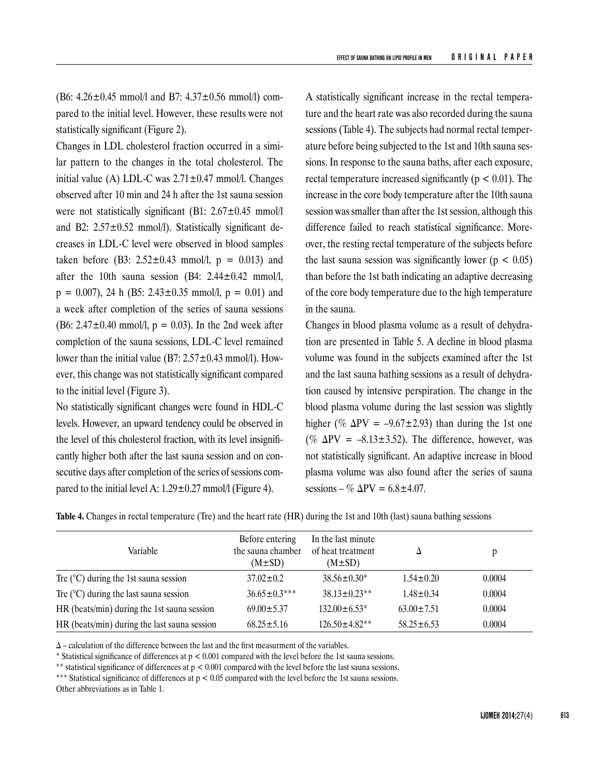(B6:  $4.26 \pm 0.45$  mmol/l and B7:  $4.37 \pm 0.56$  mmol/l) compared to the initial level. However, these results were not statistically significant (Figure 2).

Changes in LDL cholesterol fraction occurred in a similar pattern to the changes in the total cholesterol. The initial value (A) LDL-C was  $2.71 \pm 0.47$  mmol/l. Changes observed after 10 min and 24 h after the 1st sauna session were not statistically significant (B1: 2.67±0.45 mmol/l) and B2:  $2.57 \pm 0.52$  mmol/l). Statistically significant decreases in LDL-C level were observed in blood samples taken before (B3:  $2.52 \pm 0.43$  mmol/l,  $p = 0.013$ ) and after the 10th sauna session (B4:  $2.44 \pm 0.42$  mmol/l,  $p = 0.007$ , 24 h (B5: 2.43±0.35 mmol/l,  $p = 0.01$ ) and a week after completion of the series of sauna sessions (B6:  $2.47 \pm 0.40$  mmol/l,  $p = 0.03$ ). In the 2nd week after completion of the sauna sessions, LDL-C level remained lower than the initial value (B7:  $2.57 \pm 0.43$  mmol/l). However, this change was not statistically significant compared to the initial level (Figure 3).

No statistically significant changes were found in HDL-C levels. However, an upward tendency could be observed in the level of this cholesterol fraction, with its level insignificantly higher both after the last sauna session and on consecutive days after completion of the series of sessions compared to the initial level A:  $1.29 \pm 0.27$  mmol/l (Figure 4).

A statistically significant increase in the rectal temperature and the heart rate was also recorded during the sauna sessions (Table 4). The subjects had normal rectal temperature before being subjected to the 1st and 10th sauna sessions. In response to the sauna baths, after each exposure, rectal temperature increased significantly ( $p < 0.01$ ). The increase in the core body temperature after the 10th sauna session was smaller than after the 1st session, although this difference failed to reach statistical significance. Moreover, the resting rectal temperature of the subjects before the last sauna session was significantly lower ( $p < 0.05$ ) than before the 1st bath indicating an adaptive decreasing of the core body temperature due to the high temperature in the sauna.

Changes in blood plasma volume as a result of dehydration are presented in Table 5. A decline in blood plasma volume was found in the subjects examined after the 1st and the last sauna bathing sessions as a result of dehydration caused by intensive perspiration. The change in the blood plasma volume during the last session was slightly higher (%  $\Delta \text{PV} = -9.67 \pm 2.93$ ) than during the 1st one (%  $\Delta$ PV = -8.13±3.52). The difference, however, was not statistically significant. An adaptive increase in blood plasma volume was also found after the series of sauna sessions – %  $\Delta$ PV = 6.8±4.07.

**Table 4.** Changes in rectal temperature (Tre) and the heart rate (HR) during the 1st and 10th (last) sauna bathing sessions

| Variable                                        | Before entering<br>the sauna chamber<br>$(M\pm SD)$ | In the last minute<br>of heat treatment<br>$(M\pm SD)$ |                  |        |
|-------------------------------------------------|-----------------------------------------------------|--------------------------------------------------------|------------------|--------|
| Tre $(^{\circ}C)$ during the 1st sauna session  | $37.02 \pm 0.2$                                     | $38.56 \pm 0.30^*$                                     | $1.54 \pm 0.20$  | 0.0004 |
| Tre $(^{\circ}C)$ during the last sauna session | $36.65 \pm 0.3***$                                  | $38.13 \pm 0.23**$                                     | $1.48 + 0.34$    | 0.0004 |
| HR (beats/min) during the 1st sauna session     | $69.00 \pm 5.37$                                    | $132.00 \pm 6.53^*$                                    | $63.00 \pm 7.51$ | 0.0004 |
| HR (beats/min) during the last sauna session    | $68.25 \pm 5.16$                                    | $126.50 \pm 4.82**$                                    | $58.25 \pm 6.53$ | 0.0004 |

∆ – calculation of the difference between the last and the first measurment of the variables.

\* Statistical significance of differences at p < 0.001 compared with the level before the 1st sauna sessions.

\*\* statistical significance of differences at  $p < 0.001$  compared with the level before the last sauna sessions.

Other abbreviations as in Table 1.

<sup>\*\*\*</sup> Statistical significance of differences at p < 0.05 compared with the level before the 1st sauna sessions.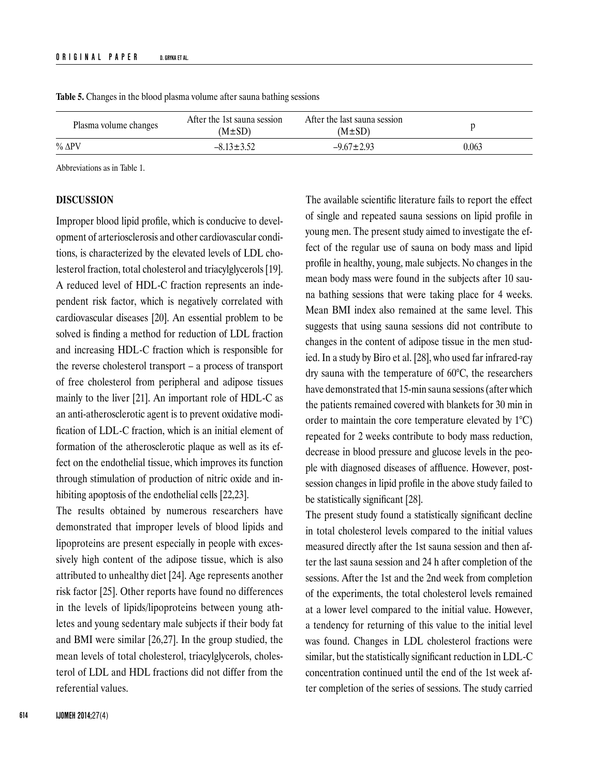| Plasma volume changes | After the 1st sauna session<br>$(M \pm SD)$ | After the last sauna session<br>$(M \pm SD)$ |       |
|-----------------------|---------------------------------------------|----------------------------------------------|-------|
| $\%$ $\Delta$ PV      | $-8.13 \pm 3.52$                            | $-9.67 \pm 2.93$                             | 0.063 |

**Table 5.** Changes in the blood plasma volume after sauna bathing sessions

Abbreviations as in Table 1.

# **DISCUSSION**

Improper blood lipid profile, which is conducive to development of arteriosclerosis and other cardiovascular conditions, is characterized by the elevated levels of LDL cholesterol fraction, total cholesterol and triacylglycerols [19]. A reduced level of HDL-C fraction represents an independent risk factor, which is negatively correlated with cardiovascular diseases [20]. An essential problem to be solved is finding a method for reduction of LDL fraction and increasing HDL-C fraction which is responsible for the reverse cholesterol transport – a process of transport of free cholesterol from peripheral and adipose tissues mainly to the liver [21]. An important role of HDL-C as an anti-atherosclerotic agent is to prevent oxidative modification of LDL-C fraction, which is an initial element of formation of the atherosclerotic plaque as well as its effect on the endothelial tissue, which improves its function through stimulation of production of nitric oxide and inhibiting apoptosis of the endothelial cells [22,23].

The results obtained by numerous researchers have demonstrated that improper levels of blood lipids and lipoproteins are present especially in people with excessively high content of the adipose tissue, which is also attributed to unhealthy diet [24]. Age represents another risk factor [25]. Other reports have found no differences in the levels of lipids/lipoproteins between young athletes and young sedentary male subjects if their body fat and BMI were similar [26,27]. In the group studied, the mean levels of total cholesterol, triacylglycerols, cholesterol of LDL and HDL fractions did not differ from the referential values.

The available scientific literature fails to report the effect of single and repeated sauna sessions on lipid profile in young men. The present study aimed to investigate the effect of the regular use of sauna on body mass and lipid profile in healthy, young, male subjects. No changes in the mean body mass were found in the subjects after 10 sauna bathing sessions that were taking place for 4 weeks. Mean BMI index also remained at the same level. This suggests that using sauna sessions did not contribute to changes in the content of adipose tissue in the men studied. In a study by Biro et al. [28], who used far infrared-ray dry sauna with the temperature of 60°C, the researchers have demonstrated that 15-min sauna sessions (after which the patients remained covered with blankets for 30 min in order to maintain the core temperature elevated by 1°C) repeated for 2 weeks contribute to body mass reduction, decrease in blood pressure and glucose levels in the people with diagnosed diseases of affluence. However, postsession changes in lipid profile in the above study failed to be statistically significant [28].

The present study found a statistically significant decline in total cholesterol levels compared to the initial values measured directly after the 1st sauna session and then after the last sauna session and 24 h after completion of the sessions. After the 1st and the 2nd week from completion of the experiments, the total cholesterol levels remained at a lower level compared to the initial value. However, a tendency for returning of this value to the initial level was found. Changes in LDL cholesterol fractions were similar, but the statistically significant reduction in LDL-C concentration continued until the end of the 1st week after completion of the series of sessions. The study carried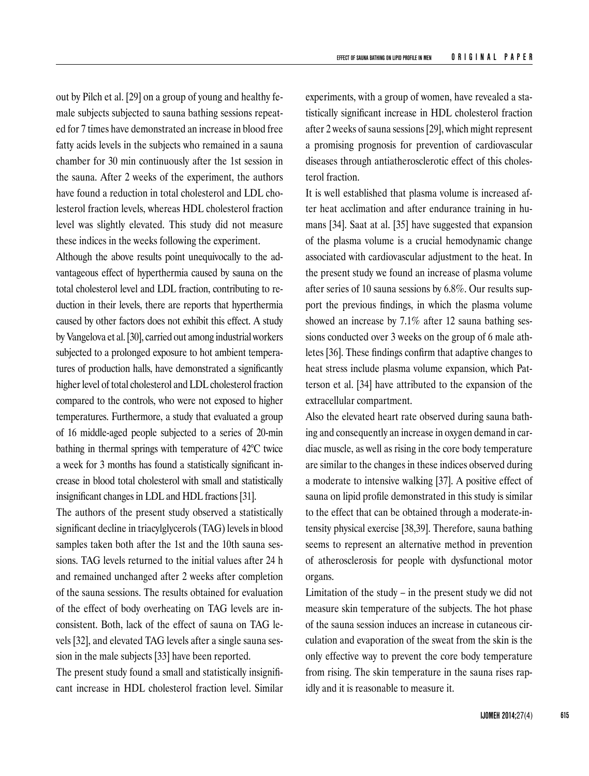out by Pilch et al. [29] on a group of young and healthy female subjects subjected to sauna bathing sessions repeated for 7 times have demonstrated an increase in blood free fatty acids levels in the subjects who remained in a sauna chamber for 30 min continuously after the 1st session in the sauna. After 2 weeks of the experiment, the authors have found a reduction in total cholesterol and LDL cholesterol fraction levels, whereas HDL cholesterol fraction level was slightly elevated. This study did not measure these indices in the weeks following the experiment.

Although the above results point unequivocally to the advantageous effect of hyperthermia caused by sauna on the total cholesterol level and LDL fraction, contributing to reduction in their levels, there are reports that hyperthermia caused by other factors does not exhibit this effect. A study by Vangelova et al. [30], carried out among industrial workers subjected to a prolonged exposure to hot ambient temperatures of production halls, have demonstrated a significantly higher level of total cholesterol and LDL cholesterol fraction compared to the controls, who were not exposed to higher temperatures. Furthermore, a study that evaluated a group of 16 middle-aged people subjected to a series of 20-min bathing in thermal springs with temperature of 42°C twice a week for 3 months has found a statistically significant increase in blood total cholesterol with small and statistically insignificant changes in LDL and HDL fractions [31].

The authors of the present study observed a statistically significant decline in triacylglycerols (TAG) levels in blood samples taken both after the 1st and the 10th sauna sessions. TAG levels returned to the initial values after 24 h and remained unchanged after 2 weeks after completion of the sauna sessions. The results obtained for evaluation of the effect of body overheating on TAG levels are inconsistent. Both, lack of the effect of sauna on TAG levels [32], and elevated TAG levels after a single sauna session in the male subjects [33] have been reported.

The present study found a small and statistically insignificant increase in HDL cholesterol fraction level. Similar experiments, with a group of women, have revealed a statistically significant increase in HDL cholesterol fraction after 2 weeks of sauna sessions [29], which might represent a promising prognosis for prevention of cardiovascular diseases through antiatherosclerotic effect of this cholesterol fraction.

It is well established that plasma volume is increased after heat acclimation and after endurance training in humans [34]. Saat at al. [35] have suggested that expansion of the plasma volume is a crucial hemodynamic change associated with cardiovascular adjustment to the heat. In the present study we found an increase of plasma volume after series of 10 sauna sessions by 6.8%. Our results support the previous findings, in which the plasma volume showed an increase by 7.1% after 12 sauna bathing sessions conducted over 3 weeks on the group of 6 male athletes [36]. These findings confirm that adaptive changes to heat stress include plasma volume expansion, which Patterson et al. [34] have attributed to the expansion of the extracellular compartment.

Also the elevated heart rate observed during sauna bathing and consequently an increase in oxygen demand in cardiac muscle, as well as rising in the core body temperature are similar to the changes in these indices observed during a moderate to intensive walking [37]. A positive effect of sauna on lipid profile demonstrated in this study is similar to the effect that can be obtained through a moderate-intensity physical exercise [38,39]. Therefore, sauna bathing seems to represent an alternative method in prevention of atherosclerosis for people with dysfunctional motor organs.

Limitation of the study – in the present study we did not measure skin temperature of the subjects. The hot phase of the sauna session induces an increase in cutaneous circulation and evaporation of the sweat from the skin is the only effective way to prevent the core body temperature from rising. The skin temperature in the sauna rises rapidly and it is reasonable to measure it.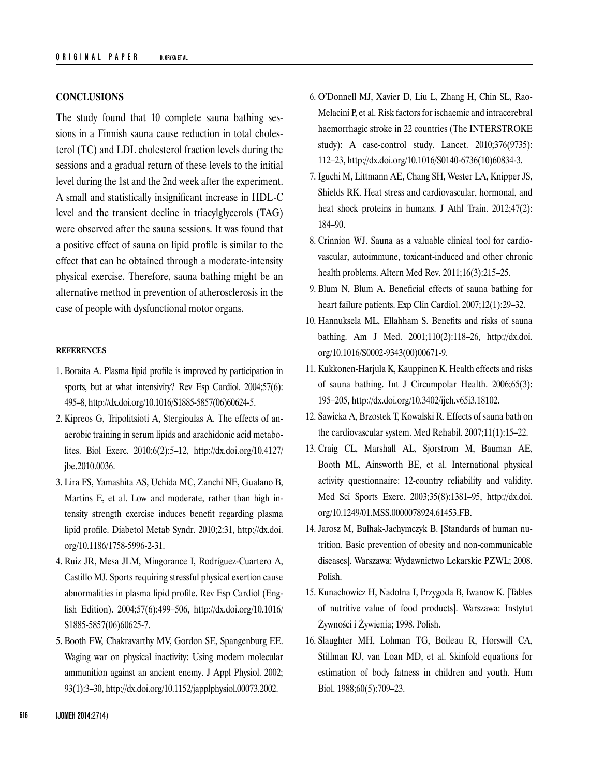# **CONCLUSIONS**

The study found that 10 complete sauna bathing sessions in a Finnish sauna cause reduction in total cholesterol (TC) and LDL cholesterol fraction levels during the sessions and a gradual return of these levels to the initial level during the 1st and the 2nd week after the experiment. A small and statistically insignificant increase in HDL-C level and the transient decline in triacylglycerols (TAG) were observed after the sauna sessions. It was found that a positive effect of sauna on lipid profile is similar to the effect that can be obtained through a moderate-intensity physical exercise. Therefore, sauna bathing might be an alternative method in prevention of atherosclerosis in the case of people with dysfunctional motor organs.

# **REFERENCES**

- 1. Boraita A. Plasma lipid profile is improved by participation in sports, but at what intensivity? Rev Esp Cardiol. 2004;57(6): 495–8, [http://dx.doi.org/10.1016/S1885-5857\(06\)60624-5.](http://dx.doi.org/10.1016/S1885-5857(06)60624-5)
- 2. Kipreos G, Tripolitsioti A, Stergioulas A. The effects of anaerobic training in serum lipids and arachidonic acid metabolites. Biol Exerc. 2010;6(2):5–12, [http://dx.doi.org/10.4127/](http://dx.doi.org/10.4127/jbe.2010.0036) [jbe.2010.0036](http://dx.doi.org/10.4127/jbe.2010.0036).
- 3. Lira FS, Yamashita AS, Uchida MC, Zanchi NE, Gualano B, Martins E, et al. Low and moderate, rather than high intensity strength exercise induces benefit regarding plasma lipid profile. Diabetol Metab Syndr. 2010;2:31, [http://dx.doi.](http://dx.doi.org/10.1186/1758-5996-2-31) [org/10.1186/1758-5996-2-31.](http://dx.doi.org/10.1186/1758-5996-2-31)
- 4. Ruiz JR, Mesa JLM, Mingorance I, Rodríguez-Cuartero A, Castillo MJ. Sports requiring stressful physical exertion cause abnormalities in plasma lipid profile. Rev Esp Cardiol (English Edition). 2004;57(6):499–506, [http://dx.doi.org/10.1016/](http://dx.doi.org/10.1016/S1885-5857(06)60625-7) [S1885-5857\(06\)60625-7.](http://dx.doi.org/10.1016/S1885-5857(06)60625-7)
- 5. Booth FW, Chakravarthy MV, Gordon SE, Spangenburg EE. Waging war on physical inactivity: Using modern molecular ammunition against an ancient enemy. J Appl Physiol. 2002; 93(1):3–30,<http://dx.doi.org/10.1152/japplphysiol.00073.2002>.
- 6. O'Donnell MJ, Xavier D, Liu L, Zhang H, Chin SL, Rao-Melacini P, et al. Risk factors for ischaemic and intracerebral haemorrhagic stroke in 22 countries (The INTERSTROKE study): A case-control study. Lancet. 2010;376(9735): 112–23, [http://dx.doi.org/10.1016/S0140-6736\(10\)60834-3.](http://dx.doi.org/10.1016/S0140-6736(10)60834-3)
- 7. Iguchi M, Littmann AE, Chang SH, Wester LA, Knipper JS, Shields RK. Heat stress and cardiovascular, hormonal, and heat shock proteins in humans. J Athl Train. 2012;47(2): 184–90.
- 8. Crinnion WJ. Sauna as a valuable clinical tool for cardiovascular, autoimmune, toxicant-induced and other chronic health problems. Altern Med Rev. 2011;16(3):215–25.
- 9. Blum N, Blum A. Beneficial effects of sauna bathing for heart failure patients. Exp Clin Cardiol. 2007;12(1):29–32.
- 10. Hannuksela ML, Ellahham S. Benefits and risks of sauna bathing. Am J Med. 2001;110(2):118–26, [http://dx.doi.](http://dx.doi.org/10.1016/S0002-9343(00)00671-9) [org/10.1016/S0002-9343\(00\)00671-9.](http://dx.doi.org/10.1016/S0002-9343(00)00671-9)
- 11. Kukkonen-Harjula K, Kauppinen K. Health effects and risks of sauna bathing. Int J Circumpolar Health. 2006;65(3): 195–205, <http://dx.doi.org/10.3402/ijch.v65i3.18102>.
- 12. Sawicka A, Brzostek T, Kowalski R. Effects of sauna bath on the cardiovascular system. Med Rehabil. 2007;11(1):15–22.
- 13. Craig CL, Marshall AL, Sjorstrom M, Bauman AE, Booth ML, Ainsworth BE, et al. International physical activity questionnaire: 12-country reliability and validity. Med Sci Sports Exerc. 2003;35(8):1381–95, [http://dx.doi.](http://dx.doi.org/10.1249/01.MSS.0000078924.61453.FB) [org/10.1249/01.MSS.0000078924.61453.FB](http://dx.doi.org/10.1249/01.MSS.0000078924.61453.FB).
- 14. Jarosz M, Bułhak-Jachymczyk B. [Standards of human nutrition. Basic prevention of obesity and non-communicable diseases]. Warszawa: Wydawnictwo Lekarskie PZWL; 2008. Polish.
- 15. Kunachowicz H, Nadolna I, Przygoda B, Iwanow K. [Tables of nutritive value of food products]. Warszawa: Instytut Żywności i Żywienia; 1998. Polish.
- 16. Slaughter MH, Lohman TG, Boileau R, Horswill CA, Stillman RJ, van Loan MD, et al. Skinfold equations for estimation of body fatness in children and youth. Hum Biol. 1988;60(5):709–23.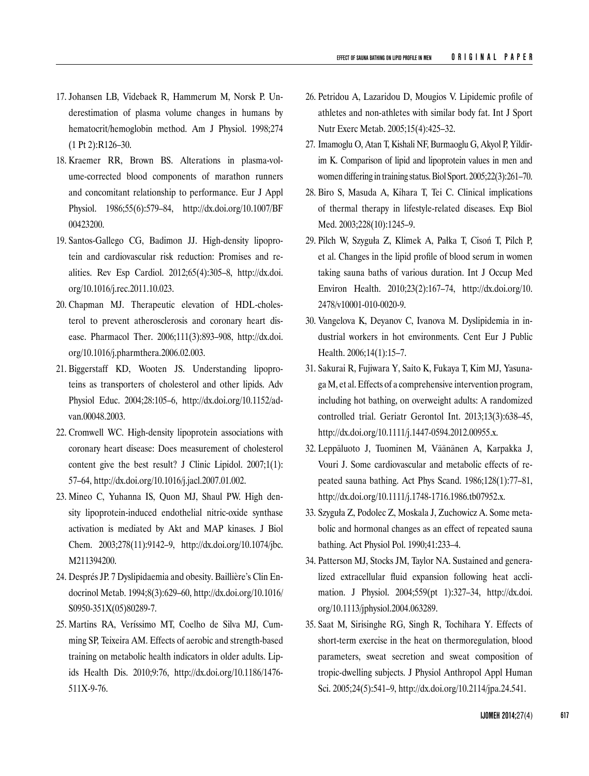- 17. Johansen LB, Videbaek R, Hammerum M, Norsk P. Underestimation of plasma volume changes in humans by hematocrit/hemoglobin method. Am J Physiol. 1998;274 (1 Pt 2):R126–30.
- 18. Kraemer RR, Brown BS. Alterations in plasma-volume-corrected blood components of marathon runners and concomitant relationship to performance. Eur J Appl Phy siol. 1986;55(6):579–84, [http://dx.doi.org/10.1007/BF](http://dx.doi.org/10.1007/BF00423200) [00423200](http://dx.doi.org/10.1007/BF00423200).
- 19. Santos-Gallego CG, Badimon JJ. High-density lipoprotein and cardiovascular risk reduction: Promises and realities. Rev Esp Cardiol. 2012;65(4):305–8, [http://dx.doi.](http://dx.doi.org/10.1016/j.rec.2011.10.023) [org/10.1016/j.rec.2011.10.023.](http://dx.doi.org/10.1016/j.rec.2011.10.023)
- 20. Chapman MJ. Therapeutic elevation of HDL-cholesterol to prevent atherosclerosis and coronary heart disease. Pharmacol Ther. 2006;111(3):893-908, [http://dx.doi.](http://dx.doi.org/10.1016/j.pharmthera.2006.02.003) [org/10.1016/j.pharmthera.2006.02.003.](http://dx.doi.org/10.1016/j.pharmthera.2006.02.003)
- 21. Biggerstaff KD, Wooten JS. Understanding lipoproteins as transporters of cholesterol and other lipids. Adv Physiol Educ. 2004;28:105–6, [http://dx.doi.org/10.1152/ad](http://dx.doi.org/10.1152/advan.00048.2003)[van.00048.2003.](http://dx.doi.org/10.1152/advan.00048.2003)
- 22. Cromwell WC. High-density lipoprotein associations with coronary heart disease: Does measurement of cholesterol content give the best result? J Clinic Lipidol. 2007;1(1): 57–64, [http://dx.doi.org/10.1016/j.jacl.2007.01.002.](http://dx.doi.org/10.1016/j.jacl.2007.01.002)
- 23. Mineo C, Yuhanna IS, Quon MJ, Shaul PW. High density lipoprotein-induced endothelial nitric-oxide synthase activation is mediated by Akt and MAP kinases. J Biol Chem. 2003;278(11):9142–9, [http://dx.doi.org/10.1074/jbc.](http://dx.doi.org/10.1074/jbc.M211394200) [M211394200.](http://dx.doi.org/10.1074/jbc.M211394200)
- 24. Després JP. 7 Dyslipidaemia and obesity. Baillière's Clin Endocrinol Metab. 1994;8(3):629–60, [http://dx.doi.org/10.1016/](http://dx.doi.org/10.1016/S0950-351X(05)80289-7) [S0950-351X\(05\)80289-7.](http://dx.doi.org/10.1016/S0950-351X(05)80289-7)
- 25. Martins RA, Veríssimo MT, Coelho de Silva MJ, Cumming SP, Teixeira AM. Effects of aerobic and strength-based training on metabolic health indicators in older adults. Lipids Health Dis. 2010;9:76, [http://dx.doi.org/10.1186/1476-](http://dx.doi.org/10.1186/1476-511X-9-76) [511X-9-76](http://dx.doi.org/10.1186/1476-511X-9-76).
- 26. Petridou A, Lazaridou D, Mougios V. Lipidemic profile of athletes and non-athletes with similar body fat. Int J Sport Nutr Exerc Metab. 2005;15(4):425–32.
- 27. Imamoglu O, Atan T, Kishali NF, Burmaoglu G, Akyol P, Yildirim K. Comparison of lipid and lipoprotein values in men and women differing in training status. Biol Sport. 2005;22(3):261–70.
- 28. Biro S, Masuda A, Kihara T, Tei C. Clinical implications of thermal therapy in lifestyle-related diseases. Exp Biol Med. 2003;228(10):1245–9.
- 29. Pilch W, Szyguła Z, Klimek A, Pałka T, Cisoń T, Pilch P, et al. Changes in the lipid profile of blood serum in women taking sauna baths of various duration. Int J Occup Med Environ Health. 2010;23(2):167–74, [http://dx.doi.org/10.](http://dx.doi.org/10.2478/v10001-010-0020-9) [2478/v10001-010-0020-9.](http://dx.doi.org/10.2478/v10001-010-0020-9)
- 30. Vangelova K, Deyanov C, Ivanova M. Dyslipidemia in industrial workers in hot environments. Cent Eur J Public Health. 2006;14(1):15–7.
- 31. Sakurai R, Fujiwara Y, Saito K, Fukaya T, Kim MJ, Yasunaga M, et al. Effects of a comprehensive intervention program, including hot bathing, on overweight adults: A randomized controlled trial. Geriatr Gerontol Int. 2013;13(3):638–45, [http://dx.doi.org/10.1111/j.1447-0594.2012.00955.x.](http://dx.doi.org/10.1111/j.1447-0594.2012.00955.x)
- 32. Leppäluoto J, Tuominen M, Väänänen A, Karpakka J, Vouri J. Some cardiovascular and metabolic effects of repeated sauna bathing. Act Phys Scand. 1986;128(1):77–81, [http://dx.doi.org/10.1111/j.1748-1716.1986.tb07952.x.](http://dx.doi.org/10.1111/j.1748-1716.1986.tb07952.x)
- 33. Szyguła Z, Podolec Z, Moskala J, Zuchowicz A. Some metabolic and hormonal changes as an effect of repeated sauna bathing. Act Physiol Pol. 1990;41:233–4.
- 34. Patterson MJ, Stocks JM, Taylor NA. Sustained and generalized extracellular fluid expansion following heat acclimation. J Physiol. 2004;559(pt 1):327–34, [http://dx.doi.](http://dx.doi.org/10.1113/jphysiol.2004.063289) [org/10.1113/jphysiol.2004.063289.](http://dx.doi.org/10.1113/jphysiol.2004.063289)
- 35. Saat M, Sirisinghe RG, Singh R, Tochihara Y. Effects of short-term exercise in the heat on thermoregulation, blood parameters, sweat secretion and sweat composition of tropic-dwelling subjects. J Physiol Anthropol Appl Human Sci. 2005;24(5):541–9,<http://dx.doi.org/10.2114/jpa.24.541>.